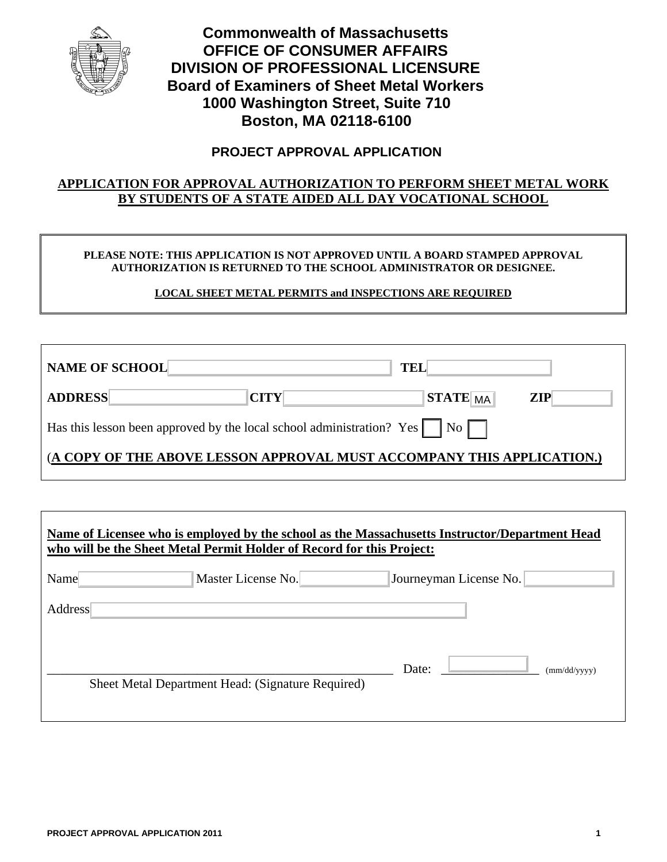

**Commonwealth of Massachusetts OFFICE OF CONSUMER AFFAIRS DIVISION OF PROFESSIONAL LICENSURE Board of Examiners of Sheet Metal Workers 1000 Washington Street, Suite 710 Boston, MA 02118-6100** 

# **PROJECT APPROVAL APPLICATION**

## **APPLICATION FOR APPROVAL AUTHORIZATION TO PERFORM SHEET METAL WORK BY STUDENTS OF A STATE AIDED ALL DAY VOCATIONAL SCHOOL**

#### **PLEASE NOTE: THIS APPLICATION IS NOT APPROVED UNTIL A BOARD STAMPED APPROVAL AUTHORIZATION IS RETURNED TO THE SCHOOL ADMINISTRATOR OR DESIGNEE.**

### **LOCAL SHEET METAL PERMITS and INSPECTIONS ARE REQUIRED**

| <b>NAME OF SCHOOL</b>                                                                                            | TEL         |                 |            |  |
|------------------------------------------------------------------------------------------------------------------|-------------|-----------------|------------|--|
| <b>ADDRESS</b>                                                                                                   | <b>CITY</b> | <b>STATE</b> MA | <b>ZIP</b> |  |
| Has this lesson been approved by the local school administration? Yes $\vert \cdot \vert$ No $\vert \cdot \vert$ |             |                 |            |  |
| (A COPY OF THE ABOVE LESSON APPROVAL MUST ACCOMPANY THIS APPLICATION.)                                           |             |                 |            |  |

| Name of Licensee who is employed by the school as the Massachusetts Instructor/Department Head<br>who will be the Sheet Metal Permit Holder of Record for this Project: |                        |                                                   |  |  |
|-------------------------------------------------------------------------------------------------------------------------------------------------------------------------|------------------------|---------------------------------------------------|--|--|
|                                                                                                                                                                         | Journeyman License No. |                                                   |  |  |
|                                                                                                                                                                         |                        |                                                   |  |  |
|                                                                                                                                                                         |                        |                                                   |  |  |
|                                                                                                                                                                         | Date:                  | (mm/dd/yyyy)                                      |  |  |
|                                                                                                                                                                         |                        |                                                   |  |  |
|                                                                                                                                                                         | Master License No.     | Sheet Metal Department Head: (Signature Required) |  |  |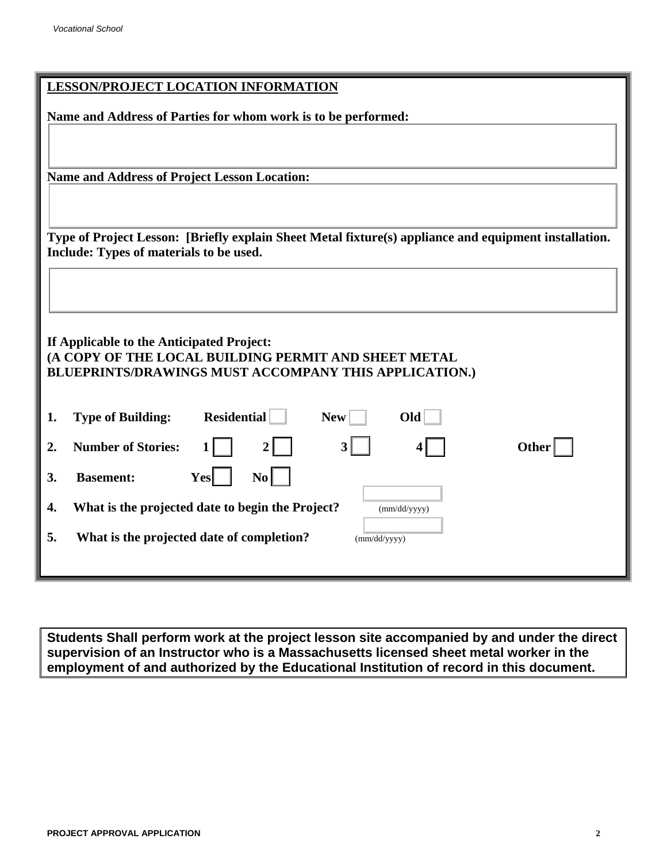| <b>LESSON/PROJECT LOCATION INFORMATION</b>                                                            |  |  |  |  |
|-------------------------------------------------------------------------------------------------------|--|--|--|--|
| Name and Address of Parties for whom work is to be performed:                                         |  |  |  |  |
|                                                                                                       |  |  |  |  |
|                                                                                                       |  |  |  |  |
| <b>Name and Address of Project Lesson Location:</b>                                                   |  |  |  |  |
|                                                                                                       |  |  |  |  |
| Type of Project Lesson: [Briefly explain Sheet Metal fixture(s) appliance and equipment installation. |  |  |  |  |
| Include: Types of materials to be used.                                                               |  |  |  |  |
|                                                                                                       |  |  |  |  |
|                                                                                                       |  |  |  |  |
| If Applicable to the Anticipated Project:                                                             |  |  |  |  |
| (A COPY OF THE LOCAL BUILDING PERMIT AND SHEET METAL                                                  |  |  |  |  |
| BLUEPRINTS/DRAWINGS MUST ACCOMPANY THIS APPLICATION.)                                                 |  |  |  |  |
| <b>Residential</b><br>O <sub>Id</sub><br><b>Type of Building:</b><br><b>New</b><br>1.                 |  |  |  |  |
| <b>Number of Stories:</b><br><b>Other</b><br>2.                                                       |  |  |  |  |
| $\mathbf{N}\mathbf{o}$<br><b>Basement:</b><br>Yesl<br>3.                                              |  |  |  |  |
| What is the projected date to begin the Project?<br>4.<br>(mm/dd/yyyy)                                |  |  |  |  |
| 5.<br>What is the projected date of completion?<br>$\overline{(mm/dd/yyyy)}$                          |  |  |  |  |
|                                                                                                       |  |  |  |  |

**Students Shall perform work at the project lesson site accompanied by and under the direct supervision of an Instructor who is a Massachusetts licensed sheet metal worker in the employment of and authorized by the Educational Institution of record in this document.**